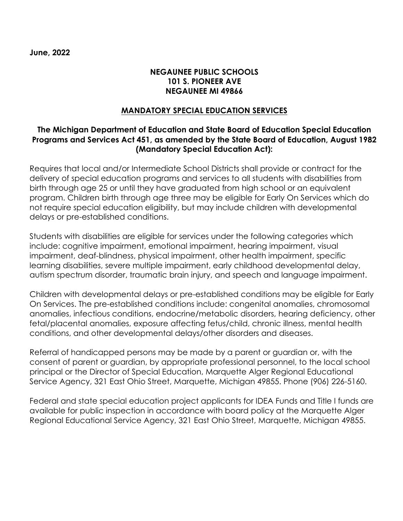**June, 2022**

## **NEGAUNEE PUBLIC SCHOOLS 101 S. PIONEER AVE NEGAUNEE MI 49866**

## **MANDATORY SPECIAL EDUCATION SERVICES**

## **The Michigan Department of Education and State Board of Education Special Education Programs and Services Act 451, as amended by the State Board of Education, August 1982 (Mandatory Special Education Act):**

Requires that local and/or Intermediate School Districts shall provide or contract for the delivery of special education programs and services to all students with disabilities from birth through age 25 or until they have graduated from high school or an equivalent program. Children birth through age three may be eligible for Early On Services which do not require special education eligibility, but may include children with developmental delays or pre-established conditions.

Students with disabilities are eligible for services under the following categories which include: cognitive impairment, emotional impairment, hearing impairment, visual impairment, deaf-blindness, physical impairment, other health impairment, specific learning disabilities, severe multiple impairment, early childhood developmental delay, autism spectrum disorder, traumatic brain injury, and speech and language impairment.

Children with developmental delays or pre-established conditions may be eligible for Early On Services. The pre-established conditions include: congenital anomalies, chromosomal anomalies, infectious conditions, endocrine/metabolic disorders, hearing deficiency, other fetal/placental anomalies, exposure affecting fetus/child, chronic illness, mental health conditions, and other developmental delays/other disorders and diseases.

Referral of handicapped persons may be made by a parent or guardian or, with the consent of parent or guardian, by appropriate professional personnel, to the local school principal or the Director of Special Education, Marquette Alger Regional Educational Service Agency, 321 East Ohio Street, Marquette, Michigan 49855. Phone (906) 226-5160.

Federal and state special education project applicants for IDEA Funds and Title I funds are available for public inspection in accordance with board policy at the Marquette Alger Regional Educational Service Agency, 321 East Ohio Street, Marquette, Michigan 49855.